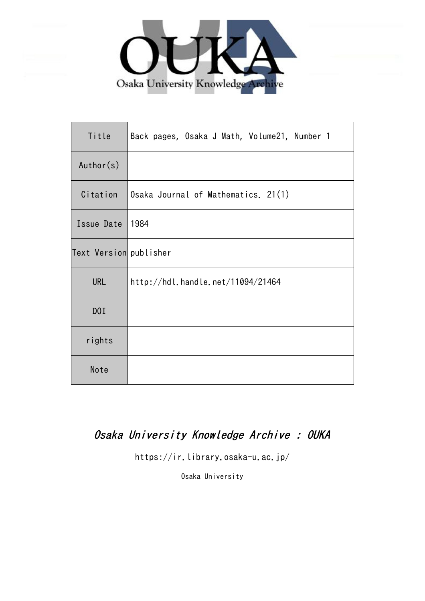

| Title                  | Back pages, Osaka J Math, Volume21, Number 1 |
|------------------------|----------------------------------------------|
| Author(s)              |                                              |
| Citation               | Osaka Journal of Mathematics. 21(1)          |
| Issue Date             | 1984                                         |
| Text Version publisher |                                              |
| <b>URL</b>             | http://hdl.handle.net/11094/21464            |
| DOI                    |                                              |
| rights                 |                                              |
| Note                   |                                              |

## Osaka University Knowledge Archive : OUKA

https://ir.library.osaka-u.ac.jp/

Osaka University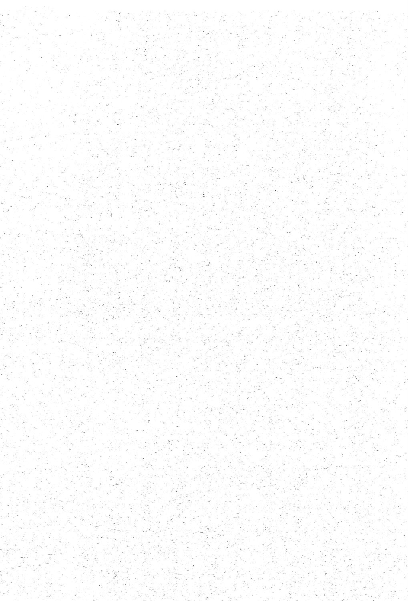